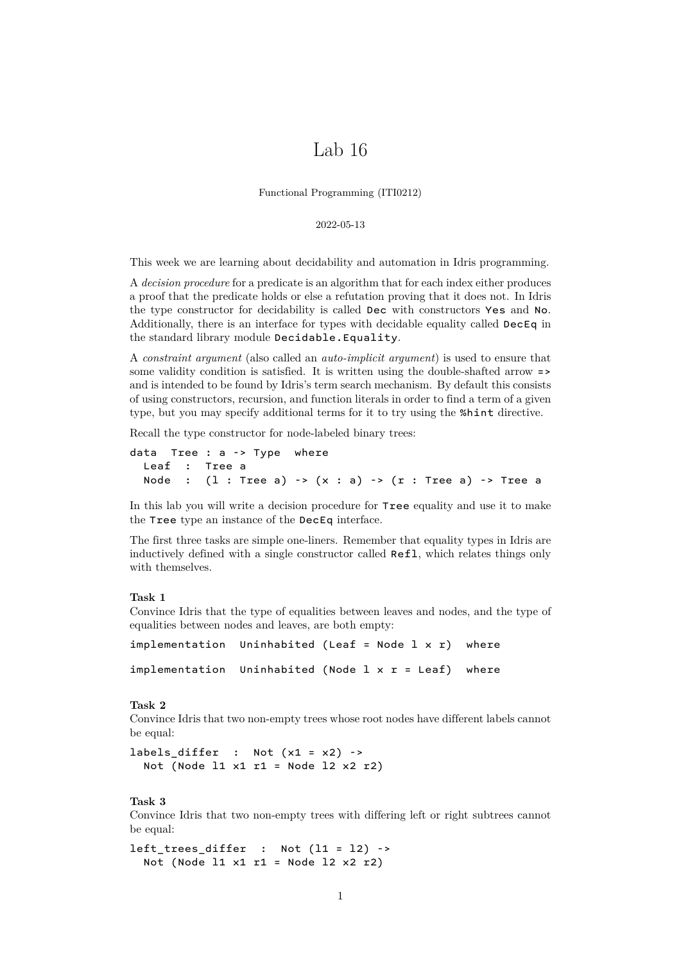# Lab 16

Functional Programming (ITI0212)

#### 2022-05-13

This week we are learning about decidability and automation in Idris programming.

A *decision procedure* for a predicate is an algorithm that for each index either produces a proof that the predicate holds or else a refutation proving that it does not. In Idris the type constructor for decidability is called Dec with constructors Yes and No. Additionally, there is an interface for types with decidable equality called DecEq in the standard library module Decidable.Equality.

A *constraint argument* (also called an *auto-implicit argument*) is used to ensure that some validity condition is satisfied. It is written using the double-shafted arrow => and is intended to be found by Idris's term search mechanism. By default this consists of using constructors, recursion, and function literals in order to find a term of a given type, but you may specify additional terms for it to try using the %hint directive.

Recall the type constructor for node-labeled binary trees:

```
data Tree : a -> Type where
  Leaf : Tree a
  Node : (1 : Tree a) \rightarrow (x : a) \rightarrow (r : Tree a) \rightarrow Tree a
```
In this lab you will write a decision procedure for Tree equality and use it to make the Tree type an instance of the DecEq interface.

The first three tasks are simple one-liners. Remember that equality types in Idris are inductively defined with a single constructor called Refl, which relates things only with themselves.

## <span id="page-0-0"></span>**Task 1**

Convince Idris that the type of equalities between leaves and nodes, and the type of equalities between nodes and leaves, are both empty:

```
implementation Uninhabited (Leaf = Node l \times r) where
implementation Uninhabited (Node l \times r = Leaf) where
```
#### <span id="page-0-2"></span>**Task 2**

Convince Idris that two non-empty trees whose root nodes have different labels cannot be equal:

```
labels_differ : Not (x1 = x2) ->
  Not (Node 11 \times 1 r1 = Node 12 \times 2 r2)
```
## <span id="page-0-1"></span>**Task 3**

Convince Idris that two non-empty trees with differing left or right subtrees cannot be equal:

```
left_trees_differ : Not (l1 = l2) ->
  Not (Node 11 \times 1 r1 = Node 12 \times 2 r2)
```